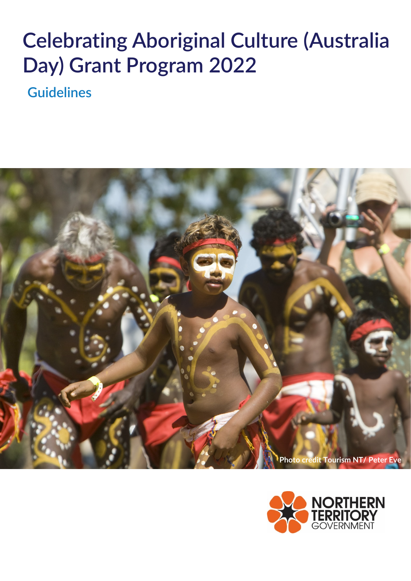# **Celebrating Aboriginal Culture (Australia Day) Grant Program 2022**

**Guidelines**



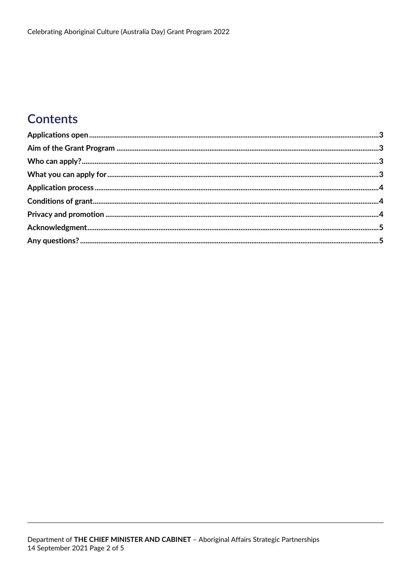# **Contents**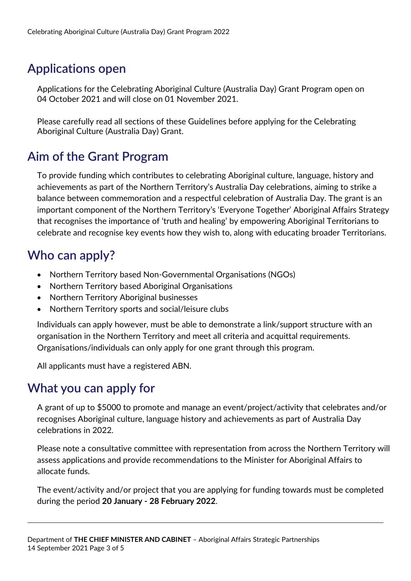# <span id="page-2-0"></span>**Applications open**

Applications for the Celebrating Aboriginal Culture (Australia Day) Grant Program open on 04 October 2021 and will close on 01 November 2021.

Please carefully read all sections of these Guidelines before applying for the Celebrating Aboriginal Culture (Australia Day) Grant.

## <span id="page-2-1"></span>**Aim of the Grant Program**

To provide funding which contributes to celebrating Aboriginal culture, language, history and achievements as part of the Northern Territory's Australia Day celebrations, aiming to strike a balance between commemoration and a respectful celebration of Australia Day. The grant is an important component of the Northern Territory's 'Everyone Together' Aboriginal Affairs Strategy that recognises the importance of 'truth and healing' by empowering Aboriginal Territorians to celebrate and recognise key events how they wish to, along with educating broader Territorians.

## <span id="page-2-2"></span>**Who can apply?**

- Northern Territory based Non-Governmental Organisations (NGOs)
- Northern Territory based Aboriginal Organisations
- Northern Territory Aboriginal businesses
- Northern Territory sports and social/leisure clubs

Individuals can apply however, must be able to demonstrate a link/support structure with an organisation in the Northern Territory and meet all criteria and acquittal requirements. Organisations/individuals can only apply for one grant through this program.

All applicants must have a registered ABN.

#### <span id="page-2-3"></span>**What you can apply for**

A grant of up to \$5000 to promote and manage an event/project/activity that celebrates and/or recognises Aboriginal culture, language history and achievements as part of Australia Day celebrations in 2022.

Please note a consultative committee with representation from across the Northern Territory will assess applications and provide recommendations to the Minister for Aboriginal Affairs to allocate funds.

The event/activity and/or project that you are applying for funding towards must be completed during the period **20 January - 28 February 2022**.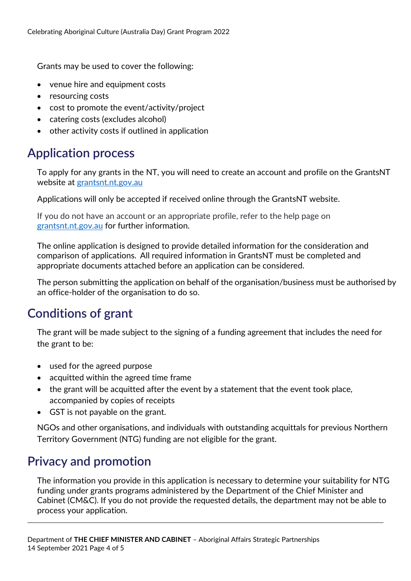Grants may be used to cover the following:

- venue hire and equipment costs
- resourcing costs
- cost to promote the event/activity/project
- catering costs (excludes alcohol)
- other activity costs if outlined in application

#### <span id="page-3-0"></span>**Application process**

To apply for any grants in the NT, you will need to create an account and profile on the GrantsNT website at [grantsnt.nt.gov.au](https://grantsnt.nt.gov.au/)

Applications will only be accepted if received online through the GrantsNT website.

If you do not have an account or an appropriate profile, refer to the help page on [grantsnt.nt.gov.au](https://grantsnt.nt.gov.au/) for further information.

The online application is designed to provide detailed information for the consideration and comparison of applications. All required information in GrantsNT must be completed and appropriate documents attached before an application can be considered.

The person submitting the application on behalf of the organisation/business must be authorised by an office-holder of the organisation to do so.

## <span id="page-3-1"></span>**Conditions of grant**

The grant will be made subject to the signing of a funding agreement that includes the need for the grant to be:

- used for the agreed purpose
- acquitted within the agreed time frame
- the grant will be acquitted after the event by a statement that the event took place, accompanied by copies of receipts
- GST is not payable on the grant.

NGOs and other organisations, and individuals with outstanding acquittals for previous Northern Territory Government (NTG) funding are not eligible for the grant.

## <span id="page-3-2"></span>**Privacy and promotion**

The information you provide in this application is necessary to determine your suitability for NTG funding under grants programs administered by the Department of the Chief Minister and Cabinet (CM&C). If you do not provide the requested details, the department may not be able to process your application.